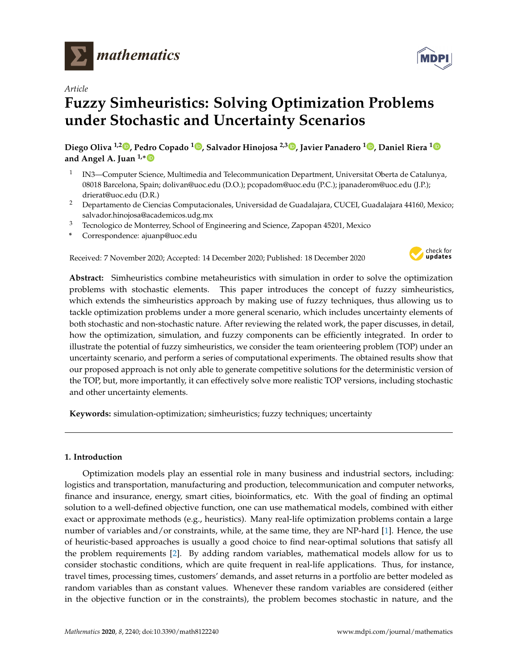

*Article*

# **Fuzzy Simheuristics: Solving Optimization Problems under Stochastic and Uncertainty Scenarios**

**Diego Oliva 1,2 [,](https://orcid.org/0000-0001-8781-7993) Pedro Copado <sup>1</sup> [,](https://orcid.org/0000-0003-4219-5056) Salvador Hinojosa 2,3 [,](https://orcid.org/0000-0001-9623-2022) Javier Panadero [1](https://orcid.org/0000-0002-3793-3328) , Daniel Riera [1](https://orcid.org/0000-0002-4718-7234) and Angel A. Juan 1,**[∗](https://orcid.org/0000-0003-1392-1776)

- 1 IN3—Computer Science, Multimedia and Telecommunication Department, Universitat Oberta de Catalunya, 08018 Barcelona, Spain; dolivan@uoc.edu (D.O.); pcopadom@uoc.edu (P.C.); jpanaderom@uoc.edu (J.P.); drierat@uoc.edu (D.R.)
- <sup>2</sup> Departamento de Ciencias Computacionales, Universidad de Guadalajara, CUCEI, Guadalajara 44160, Mexico; salvador.hinojosa@academicos.udg.mx
- <sup>3</sup> Tecnologico de Monterrey, School of Engineering and Science, Zapopan 45201, Mexico
- **\*** Correspondence: ajuanp@uoc.edu

Received: 7 November 2020; Accepted: 14 December 2020; Published: 18 December 2020



**Abstract:** Simheuristics combine metaheuristics with simulation in order to solve the optimization problems with stochastic elements. This paper introduces the concept of fuzzy simheuristics, which extends the simheuristics approach by making use of fuzzy techniques, thus allowing us to tackle optimization problems under a more general scenario, which includes uncertainty elements of both stochastic and non-stochastic nature. After reviewing the related work, the paper discusses, in detail, how the optimization, simulation, and fuzzy components can be efficiently integrated. In order to illustrate the potential of fuzzy simheuristics, we consider the team orienteering problem (TOP) under an uncertainty scenario, and perform a series of computational experiments. The obtained results show that our proposed approach is not only able to generate competitive solutions for the deterministic version of the TOP, but, more importantly, it can effectively solve more realistic TOP versions, including stochastic and other uncertainty elements.

**Keywords:** simulation-optimization; simheuristics; fuzzy techniques; uncertainty

## **1. Introduction**

Optimization models play an essential role in many business and industrial sectors, including: logistics and transportation, manufacturing and production, telecommunication and computer networks, finance and insurance, energy, smart cities, bioinformatics, etc. With the goal of finding an optimal solution to a well-defined objective function, one can use mathematical models, combined with either exact or approximate methods (e.g., heuristics). Many real-life optimization problems contain a large number of variables and/or constraints, while, at the same time, they are NP-hard [\[1\]](#page-15-0). Hence, the use of heuristic-based approaches is usually a good choice to find near-optimal solutions that satisfy all the problem requirements [\[2\]](#page-15-1). By adding random variables, mathematical models allow for us to consider stochastic conditions, which are quite frequent in real-life applications. Thus, for instance, travel times, processing times, customers' demands, and asset returns in a portfolio are better modeled as random variables than as constant values. Whenever these random variables are considered (either in the objective function or in the constraints), the problem becomes stochastic in nature, and the

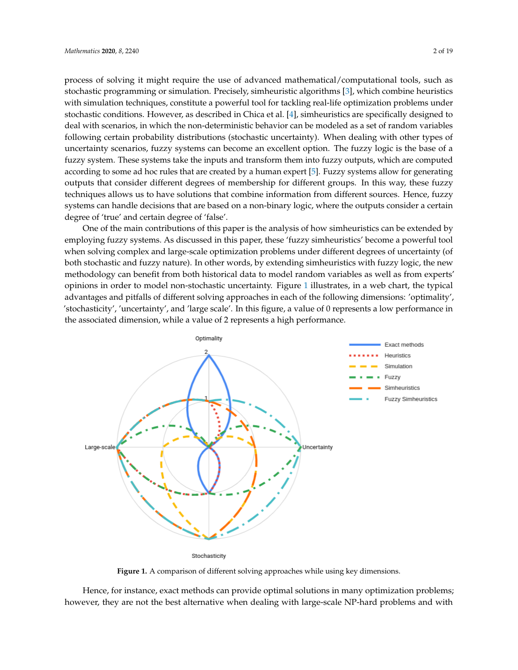process of solving it might require the use of advanced mathematical/computational tools, such as stochastic programming or simulation. Precisely, simheuristic algorithms [\[3\]](#page-15-2), which combine heuristics with simulation techniques, constitute a powerful tool for tackling real-life optimization problems under stochastic conditions. However, as described in Chica et al. [\[4\]](#page-15-3), simheuristics are specifically designed to deal with scenarios, in which the non-deterministic behavior can be modeled as a set of random variables following certain probability distributions (stochastic uncertainty). When dealing with other types of uncertainty scenarios, fuzzy systems can become an excellent option. The fuzzy logic is the base of a fuzzy system. These systems take the inputs and transform them into fuzzy outputs, which are computed according to some ad hoc rules that are created by a human expert [\[5\]](#page-15-4). Fuzzy systems allow for generating outputs that consider different degrees of membership for different groups. In this way, these fuzzy techniques allows us to have solutions that combine information from different sources. Hence, fuzzy systems can handle decisions that are based on a non-binary logic, where the outputs consider a certain degree of 'true' and certain degree of 'false'.

One of the main contributions of this paper is the analysis of how simheuristics can be extended by employing fuzzy systems. As discussed in this paper, these 'fuzzy simheuristics' become a powerful tool when solving complex and large-scale optimization problems under different degrees of uncertainty (of both stochastic and fuzzy nature). In other words, by extending simheuristics with fuzzy logic, the new methodology can benefit from both historical data to model random variables as well as from experts' opinions in order to model non-stochastic uncertainty. Figure [1](#page-1-0) illustrates, in a web chart, the typical advantages and pitfalls of different solving approaches in each of the following dimensions: 'optimality', 'stochasticity', 'uncertainty', and 'large scale'. In this figure, a value of 0 represents a low performance in the associated dimension, while a value of 2 represents a high performance.

<span id="page-1-0"></span>

**Figure 1.** A comparison of different solving approaches while using key dimensions.

Hence, for instance, exact methods can provide optimal solutions in many optimization problems; however, they are not the best alternative when dealing with large-scale NP-hard problems and with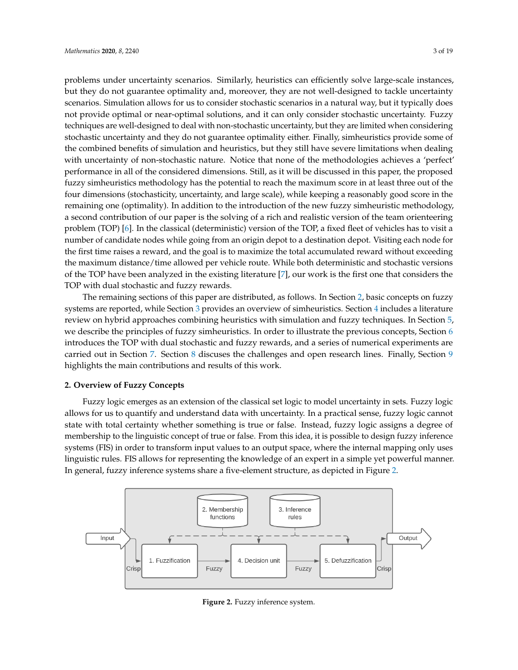problems under uncertainty scenarios. Similarly, heuristics can efficiently solve large-scale instances, but they do not guarantee optimality and, moreover, they are not well-designed to tackle uncertainty scenarios. Simulation allows for us to consider stochastic scenarios in a natural way, but it typically does not provide optimal or near-optimal solutions, and it can only consider stochastic uncertainty. Fuzzy techniques are well-designed to deal with non-stochastic uncertainty, but they are limited when considering stochastic uncertainty and they do not guarantee optimality either. Finally, simheuristics provide some of the combined benefits of simulation and heuristics, but they still have severe limitations when dealing with uncertainty of non-stochastic nature. Notice that none of the methodologies achieves a 'perfect' performance in all of the considered dimensions. Still, as it will be discussed in this paper, the proposed fuzzy simheuristics methodology has the potential to reach the maximum score in at least three out of the four dimensions (stochasticity, uncertainty, and large scale), while keeping a reasonably good score in the remaining one (optimality). In addition to the introduction of the new fuzzy simheuristic methodology, a second contribution of our paper is the solving of a rich and realistic version of the team orienteering problem (TOP) [\[6\]](#page-15-5). In the classical (deterministic) version of the TOP, a fixed fleet of vehicles has to visit a number of candidate nodes while going from an origin depot to a destination depot. Visiting each node for the first time raises a reward, and the goal is to maximize the total accumulated reward without exceeding the maximum distance/time allowed per vehicle route. While both deterministic and stochastic versions of the TOP have been analyzed in the existing literature [\[7\]](#page-15-6), our work is the first one that considers the TOP with dual stochastic and fuzzy rewards.

The remaining sections of this paper are distributed, as follows. In Section [2,](#page-2-0) basic concepts on fuzzy systems are reported, while Section [3](#page-3-0) provides an overview of simheuristics. Section [4](#page-4-0) includes a literature review on hybrid approaches combining heuristics with simulation and fuzzy techniques. In Section [5,](#page-7-0) we describe the principles of fuzzy simheuristics. In order to illustrate the previous concepts, Section [6](#page-8-0) introduces the TOP with dual stochastic and fuzzy rewards, and a series of numerical experiments are carried out in Section [7.](#page-9-0) Section [8](#page-14-0) discuses the challenges and open research lines. Finally, Section [9](#page-14-1) highlights the main contributions and results of this work.

#### <span id="page-2-0"></span>**2. Overview of Fuzzy Concepts**

Fuzzy logic emerges as an extension of the classical set logic to model uncertainty in sets. Fuzzy logic allows for us to quantify and understand data with uncertainty. In a practical sense, fuzzy logic cannot state with total certainty whether something is true or false. Instead, fuzzy logic assigns a degree of membership to the linguistic concept of true or false. From this idea, it is possible to design fuzzy inference systems (FIS) in order to transform input values to an output space, where the internal mapping only uses linguistic rules. FIS allows for representing the knowledge of an expert in a simple yet powerful manner. In general, fuzzy inference systems share a five-element structure, as depicted in Figure [2.](#page-2-1)

<span id="page-2-1"></span>

**Figure 2.** Fuzzy inference system.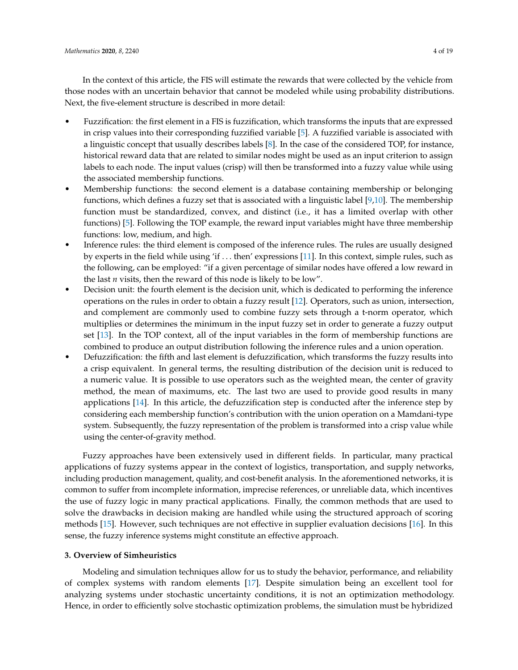In the context of this article, the FIS will estimate the rewards that were collected by the vehicle from those nodes with an uncertain behavior that cannot be modeled while using probability distributions. Next, the five-element structure is described in more detail:

- Fuzzification: the first element in a FIS is fuzzification, which transforms the inputs that are expressed in crisp values into their corresponding fuzzified variable [\[5\]](#page-15-4). A fuzzified variable is associated with a linguistic concept that usually describes labels [\[8\]](#page-15-7). In the case of the considered TOP, for instance, historical reward data that are related to similar nodes might be used as an input criterion to assign labels to each node. The input values (crisp) will then be transformed into a fuzzy value while using the associated membership functions.
- Membership functions: the second element is a database containing membership or belonging functions, which defines a fuzzy set that is associated with a linguistic label [\[9,](#page-15-8)[10\]](#page-15-9). The membership function must be standardized, convex, and distinct (i.e., it has a limited overlap with other functions) [\[5\]](#page-15-4). Following the TOP example, the reward input variables might have three membership functions: low, medium, and high.
- Inference rules: the third element is composed of the inference rules. The rules are usually designed by experts in the field while using 'if . . . then' expressions [\[11\]](#page-15-10). In this context, simple rules, such as the following, can be employed: "if a given percentage of similar nodes have offered a low reward in the last *n* visits, then the reward of this node is likely to be low".
- Decision unit: the fourth element is the decision unit, which is dedicated to performing the inference operations on the rules in order to obtain a fuzzy result [\[12\]](#page-15-11). Operators, such as union, intersection, and complement are commonly used to combine fuzzy sets through a t-norm operator, which multiplies or determines the minimum in the input fuzzy set in order to generate a fuzzy output set [\[13\]](#page-15-12). In the TOP context, all of the input variables in the form of membership functions are combined to produce an output distribution following the inference rules and a union operation.
- Defuzzification: the fifth and last element is defuzzification, which transforms the fuzzy results into a crisp equivalent. In general terms, the resulting distribution of the decision unit is reduced to a numeric value. It is possible to use operators such as the weighted mean, the center of gravity method, the mean of maximums, etc. The last two are used to provide good results in many applications [\[14\]](#page-15-13). In this article, the defuzzification step is conducted after the inference step by considering each membership function's contribution with the union operation on a Mamdani-type system. Subsequently, the fuzzy representation of the problem is transformed into a crisp value while using the center-of-gravity method.

Fuzzy approaches have been extensively used in different fields. In particular, many practical applications of fuzzy systems appear in the context of logistics, transportation, and supply networks, including production management, quality, and cost-benefit analysis. In the aforementioned networks, it is common to suffer from incomplete information, imprecise references, or unreliable data, which incentives the use of fuzzy logic in many practical applications. Finally, the common methods that are used to solve the drawbacks in decision making are handled while using the structured approach of scoring methods [\[15\]](#page-16-0). However, such techniques are not effective in supplier evaluation decisions [\[16\]](#page-16-1). In this sense, the fuzzy inference systems might constitute an effective approach.

## <span id="page-3-0"></span>**3. Overview of Simheuristics**

Modeling and simulation techniques allow for us to study the behavior, performance, and reliability of complex systems with random elements [\[17\]](#page-16-2). Despite simulation being an excellent tool for analyzing systems under stochastic uncertainty conditions, it is not an optimization methodology. Hence, in order to efficiently solve stochastic optimization problems, the simulation must be hybridized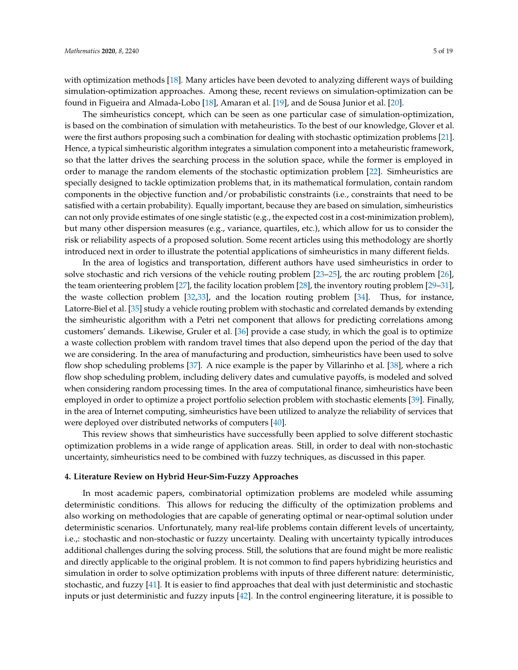with optimization methods [\[18\]](#page-16-3). Many articles have been devoted to analyzing different ways of building simulation-optimization approaches. Among these, recent reviews on simulation-optimization can be found in Figueira and Almada-Lobo [\[18\]](#page-16-3), Amaran et al. [\[19\]](#page-16-4), and de Sousa Junior et al. [\[20\]](#page-16-5).

The simheuristics concept, which can be seen as one particular case of simulation-optimization, is based on the combination of simulation with metaheuristics. To the best of our knowledge, Glover et al. were the first authors proposing such a combination for dealing with stochastic optimization problems [\[21\]](#page-16-6). Hence, a typical simheuristic algorithm integrates a simulation component into a metaheuristic framework, so that the latter drives the searching process in the solution space, while the former is employed in order to manage the random elements of the stochastic optimization problem [\[22\]](#page-16-7). Simheuristics are specially designed to tackle optimization problems that, in its mathematical formulation, contain random components in the objective function and/or probabilistic constraints (i.e., constraints that need to be satisfied with a certain probability). Equally important, because they are based on simulation, simheuristics can not only provide estimates of one single statistic (e.g., the expected cost in a cost-minimization problem), but many other dispersion measures (e.g., variance, quartiles, etc.), which allow for us to consider the risk or reliability aspects of a proposed solution. Some recent articles using this methodology are shortly introduced next in order to illustrate the potential applications of simheuristics in many different fields.

In the area of logistics and transportation, different authors have used simheuristics in order to solve stochastic and rich versions of the vehicle routing problem [\[23–](#page-16-8)[25\]](#page-16-9), the arc routing problem [\[26\]](#page-16-10), the team orienteering problem [\[27\]](#page-16-11), the facility location problem [\[28\]](#page-16-12), the inventory routing problem [\[29](#page-16-13)[–31\]](#page-16-14), the waste collection problem [\[32](#page-16-15)[,33\]](#page-16-16), and the location routing problem [\[34\]](#page-16-17). Thus, for instance, Latorre-Biel et al. [\[35\]](#page-16-18) study a vehicle routing problem with stochastic and correlated demands by extending the simheuristic algorithm with a Petri net component that allows for predicting correlations among customers' demands. Likewise, Gruler et al. [\[36\]](#page-16-19) provide a case study, in which the goal is to optimize a waste collection problem with random travel times that also depend upon the period of the day that we are considering. In the area of manufacturing and production, simheuristics have been used to solve flow shop scheduling problems [\[37\]](#page-17-0). A nice example is the paper by Villarinho et al. [\[38\]](#page-17-1), where a rich flow shop scheduling problem, including delivery dates and cumulative payoffs, is modeled and solved when considering random processing times. In the area of computational finance, simheuristics have been employed in order to optimize a project portfolio selection problem with stochastic elements [\[39\]](#page-17-2). Finally, in the area of Internet computing, simheuristics have been utilized to analyze the reliability of services that were deployed over distributed networks of computers [\[40\]](#page-17-3).

This review shows that simheuristics have successfully been applied to solve different stochastic optimization problems in a wide range of application areas. Still, in order to deal with non-stochastic uncertainty, simheuristics need to be combined with fuzzy techniques, as discussed in this paper.

### <span id="page-4-0"></span>**4. Literature Review on Hybrid Heur-Sim-Fuzzy Approaches**

In most academic papers, combinatorial optimization problems are modeled while assuming deterministic conditions. This allows for reducing the difficulty of the optimization problems and also working on methodologies that are capable of generating optimal or near-optimal solution under deterministic scenarios. Unfortunately, many real-life problems contain different levels of uncertainty, i.e.,: stochastic and non-stochastic or fuzzy uncertainty. Dealing with uncertainty typically introduces additional challenges during the solving process. Still, the solutions that are found might be more realistic and directly applicable to the original problem. It is not common to find papers hybridizing heuristics and simulation in order to solve optimization problems with inputs of three different nature: deterministic, stochastic, and fuzzy [\[41\]](#page-17-4). It is easier to find approaches that deal with just deterministic and stochastic inputs or just deterministic and fuzzy inputs [\[42\]](#page-17-5). In the control engineering literature, it is possible to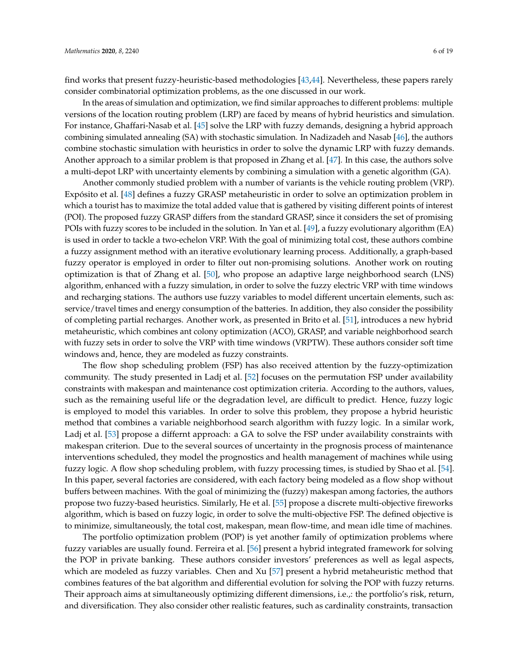find works that present fuzzy-heuristic-based methodologies [\[43,](#page-17-6)[44\]](#page-17-7). Nevertheless, these papers rarely consider combinatorial optimization problems, as the one discussed in our work.

In the areas of simulation and optimization, we find similar approaches to different problems: multiple versions of the location routing problem (LRP) are faced by means of hybrid heuristics and simulation. For instance, Ghaffari-Nasab et al. [\[45\]](#page-17-8) solve the LRP with fuzzy demands, designing a hybrid approach combining simulated annealing (SA) with stochastic simulation. In Nadizadeh and Nasab [\[46\]](#page-17-9), the authors combine stochastic simulation with heuristics in order to solve the dynamic LRP with fuzzy demands. Another approach to a similar problem is that proposed in Zhang et al. [\[47\]](#page-17-10). In this case, the authors solve a multi-depot LRP with uncertainty elements by combining a simulation with a genetic algorithm (GA).

Another commonly studied problem with a number of variants is the vehicle routing problem (VRP). Expósito et al. [\[48\]](#page-17-11) defines a fuzzy GRASP metaheuristic in order to solve an optimization problem in which a tourist has to maximize the total added value that is gathered by visiting different points of interest (POI). The proposed fuzzy GRASP differs from the standard GRASP, since it considers the set of promising POIs with fuzzy scores to be included in the solution. In Yan et al. [\[49\]](#page-17-12), a fuzzy evolutionary algorithm (EA) is used in order to tackle a two-echelon VRP. With the goal of minimizing total cost, these authors combine a fuzzy assignment method with an iterative evolutionary learning process. Additionally, a graph-based fuzzy operator is employed in order to filter out non-promising solutions. Another work on routing optimization is that of Zhang et al. [\[50\]](#page-17-13), who propose an adaptive large neighborhood search (LNS) algorithm, enhanced with a fuzzy simulation, in order to solve the fuzzy electric VRP with time windows and recharging stations. The authors use fuzzy variables to model different uncertain elements, such as: service/travel times and energy consumption of the batteries. In addition, they also consider the possibility of completing partial recharges. Another work, as presented in Brito et al. [\[51\]](#page-17-14), introduces a new hybrid metaheuristic, which combines ant colony optimization (ACO), GRASP, and variable neighborhood search with fuzzy sets in order to solve the VRP with time windows (VRPTW). These authors consider soft time windows and, hence, they are modeled as fuzzy constraints.

The flow shop scheduling problem (FSP) has also received attention by the fuzzy-optimization community. The study presented in Ladj et al. [\[52\]](#page-17-15) focuses on the permutation FSP under availability constraints with makespan and maintenance cost optimization criteria. According to the authors, values, such as the remaining useful life or the degradation level, are difficult to predict. Hence, fuzzy logic is employed to model this variables. In order to solve this problem, they propose a hybrid heuristic method that combines a variable neighborhood search algorithm with fuzzy logic. In a similar work, Ladj et al. [\[53\]](#page-17-16) propose a differnt approach: a GA to solve the FSP under availability constraints with makespan criterion. Due to the several sources of uncertainty in the prognosis process of maintenance interventions scheduled, they model the prognostics and health management of machines while using fuzzy logic. A flow shop scheduling problem, with fuzzy processing times, is studied by Shao et al. [\[54\]](#page-17-17). In this paper, several factories are considered, with each factory being modeled as a flow shop without buffers between machines. With the goal of minimizing the (fuzzy) makespan among factories, the authors propose two fuzzy-based heuristics. Similarly, He et al. [\[55\]](#page-17-18) propose a discrete multi-objective fireworks algorithm, which is based on fuzzy logic, in order to solve the multi-objective FSP. The defined objective is to minimize, simultaneously, the total cost, makespan, mean flow-time, and mean idle time of machines.

The portfolio optimization problem (POP) is yet another family of optimization problems where fuzzy variables are usually found. Ferreira et al. [\[56\]](#page-17-19) present a hybrid integrated framework for solving the POP in private banking. These authors consider investors' preferences as well as legal aspects, which are modeled as fuzzy variables. Chen and Xu [\[57\]](#page-17-20) present a hybrid metaheuristic method that combines features of the bat algorithm and differential evolution for solving the POP with fuzzy returns. Their approach aims at simultaneously optimizing different dimensions, i.e.,: the portfolio's risk, return, and diversification. They also consider other realistic features, such as cardinality constraints, transaction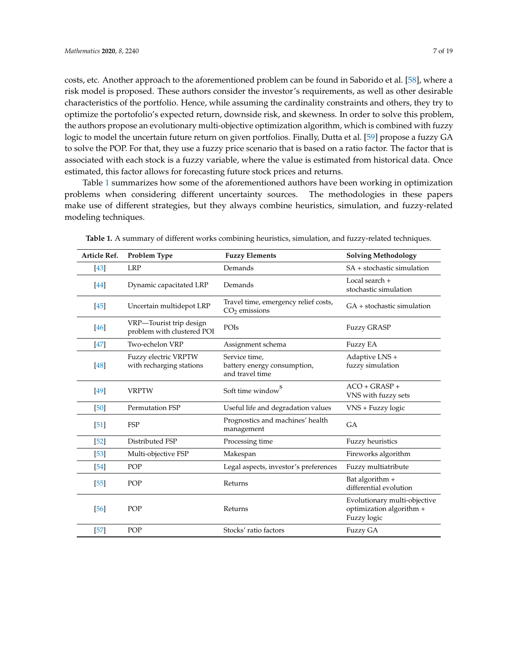costs, etc. Another approach to the aforementioned problem can be found in Saborido et al. [\[58\]](#page-17-21), where a risk model is proposed. These authors consider the investor's requirements, as well as other desirable characteristics of the portfolio. Hence, while assuming the cardinality constraints and others, they try to optimize the portofolio's expected return, downside risk, and skewness. In order to solve this problem, the authors propose an evolutionary multi-objective optimization algorithm, which is combined with fuzzy logic to model the uncertain future return on given portfolios. Finally, Dutta et al. [\[59\]](#page-18-0) propose a fuzzy GA to solve the POP. For that, they use a fuzzy price scenario that is based on a ratio factor. The factor that is associated with each stock is a fuzzy variable, where the value is estimated from historical data. Once estimated, this factor allows for forecasting future stock prices and returns.

Table [1](#page-6-0) summarizes how some of the aforementioned authors have been working in optimization problems when considering different uncertainty sources. The methodologies in these papers make use of different strategies, but they always combine heuristics, simulation, and fuzzy-related modeling techniques.

| Article Ref.       | Problem Type                                          | <b>Fuzzy Elements</b>                                           | <b>Solving Methodology</b>                                              |  |
|--------------------|-------------------------------------------------------|-----------------------------------------------------------------|-------------------------------------------------------------------------|--|
| [43]               | <b>LRP</b>                                            | Demands                                                         | SA + stochastic simulation                                              |  |
| [44]               | Dynamic capacitated LRP                               | Demands                                                         | Local search +<br>stochastic simulation                                 |  |
| $\lceil 45 \rceil$ | Uncertain multidepot LRP                              | Travel time, emergency relief costs,<br>$CO2$ emissions         | GA + stochastic simulation                                              |  |
| [46]               | VRP—Tourist trip design<br>problem with clustered POI | POIs                                                            | <b>Fuzzy GRASP</b>                                                      |  |
| [47]               | Two-echelon VRP                                       | Assignment schema                                               | <b>Fuzzy EA</b>                                                         |  |
| [48]               | Fuzzy electric VRPTW<br>with recharging stations      | Service time.<br>battery energy consumption,<br>and travel time | Adaptive LNS +<br>fuzzy simulation                                      |  |
| [49]               | <b>VRPTW</b>                                          | Soft time window $\!{\rm S}$                                    | $ACO + GRASP +$<br>VNS with fuzzy sets                                  |  |
| [50]               | Permutation FSP                                       | Useful life and degradation values                              | VNS + Fuzzy logic                                                       |  |
| $\left[51\right]$  | <b>FSP</b>                                            | Prognostics and machines' health<br>management                  | <b>GA</b>                                                               |  |
| $\sqrt{52}$        | Distributed FSP                                       | Processing time                                                 | Fuzzy heuristics                                                        |  |
| $\left[53\right]$  | Multi-objective FSP                                   | Makespan                                                        | Fireworks algorithm                                                     |  |
| [54]               | POP                                                   | Legal aspects, investor's preferences                           | Fuzzy multiatribute                                                     |  |
| [55]               | POP                                                   | Returns                                                         | Bat algorithm +<br>differential evolution                               |  |
| [56]               | POP                                                   | Returns                                                         | Evolutionary multi-objective<br>optimization algorithm +<br>Fuzzy logic |  |
| [57]               | POP                                                   | Stocks' ratio factors                                           | Fuzzy GA                                                                |  |

<span id="page-6-0"></span>**Table 1.** A summary of different works combining heuristics, simulation, and fuzzy-related techniques.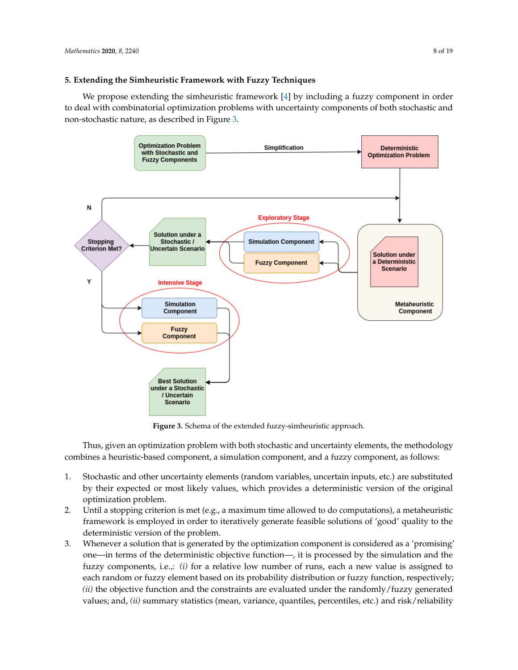<span id="page-7-0"></span>We propose extending the simheuristic framework [\[4\]](#page-15-3) by including a fuzzy component in order to deal with combinatorial optimization problems with uncertainty components of both stochastic and non-stochastic nature, as described in Figure [3.](#page-7-1)

<span id="page-7-1"></span>

**Figure 3.** Schema of the extended fuzzy-simheuristic approach.

Thus, given an optimization problem with both stochastic and uncertainty elements, the methodology combines a heuristic-based component, a simulation component, and a fuzzy component, as follows:

- 1. Stochastic and other uncertainty elements (random variables, uncertain inputs, etc.) are substituted by their expected or most likely values, which provides a deterministic version of the original optimization problem.
- 2. Until a stopping criterion is met (e.g., a maximum time allowed to do computations), a metaheuristic framework is employed in order to iteratively generate feasible solutions of 'good' quality to the deterministic version of the problem.
- 3. Whenever a solution that is generated by the optimization component is considered as a 'promising' one—in terms of the deterministic objective function—, it is processed by the simulation and the fuzzy components, i.e.,: *(i)* for a relative low number of runs, each a new value is assigned to each random or fuzzy element based on its probability distribution or fuzzy function, respectively; *(ii)* the objective function and the constraints are evaluated under the randomly/fuzzy generated values; and, *(ii)* summary statistics (mean, variance, quantiles, percentiles, etc.) and risk/reliability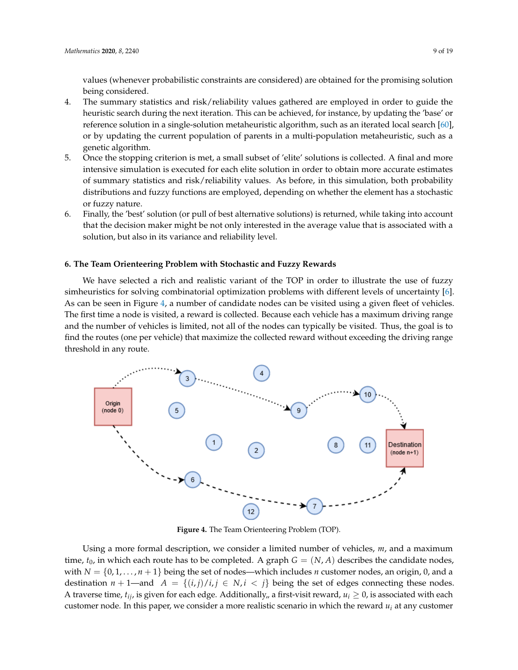values (whenever probabilistic constraints are considered) are obtained for the promising solution being considered.

- 4. The summary statistics and risk/reliability values gathered are employed in order to guide the heuristic search during the next iteration. This can be achieved, for instance, by updating the 'base' or reference solution in a single-solution metaheuristic algorithm, such as an iterated local search [\[60\]](#page-18-1), or by updating the current population of parents in a multi-population metaheuristic, such as a genetic algorithm.
- 5. Once the stopping criterion is met, a small subset of 'elite' solutions is collected. A final and more intensive simulation is executed for each elite solution in order to obtain more accurate estimates of summary statistics and risk/reliability values. As before, in this simulation, both probability distributions and fuzzy functions are employed, depending on whether the element has a stochastic or fuzzy nature.
- 6. Finally, the 'best' solution (or pull of best alternative solutions) is returned, while taking into account that the decision maker might be not only interested in the average value that is associated with a solution, but also in its variance and reliability level.

## <span id="page-8-0"></span>**6. The Team Orienteering Problem with Stochastic and Fuzzy Rewards**

We have selected a rich and realistic variant of the TOP in order to illustrate the use of fuzzy simheuristics for solving combinatorial optimization problems with different levels of uncertainty [\[6\]](#page-15-5). As can be seen in Figure [4,](#page-8-1) a number of candidate nodes can be visited using a given fleet of vehicles. The first time a node is visited, a reward is collected. Because each vehicle has a maximum driving range and the number of vehicles is limited, not all of the nodes can typically be visited. Thus, the goal is to find the routes (one per vehicle) that maximize the collected reward without exceeding the driving range threshold in any route.

<span id="page-8-1"></span>

**Figure 4.** The Team Orienteering Problem (TOP).

Using a more formal description, we consider a limited number of vehicles, *m*, and a maximum time,  $t_0$ , in which each route has to be completed. A graph  $G = (N, A)$  describes the candidate nodes, with  $N = \{0, 1, \ldots, n + 1\}$  being the set of nodes—which includes *n* customer nodes, an origin, 0, and a destination  $n + 1$ —and  $A = \{(i, j)/i, j \in N, i < j\}$  being the set of edges connecting these nodes. A traverse time,  $t_{ii}$ , is given for each edge. Additionally,, a first-visit reward,  $u_i \geq 0$ , is associated with each customer node. In this paper, we consider a more realistic scenario in which the reward  $u_i$  at any customer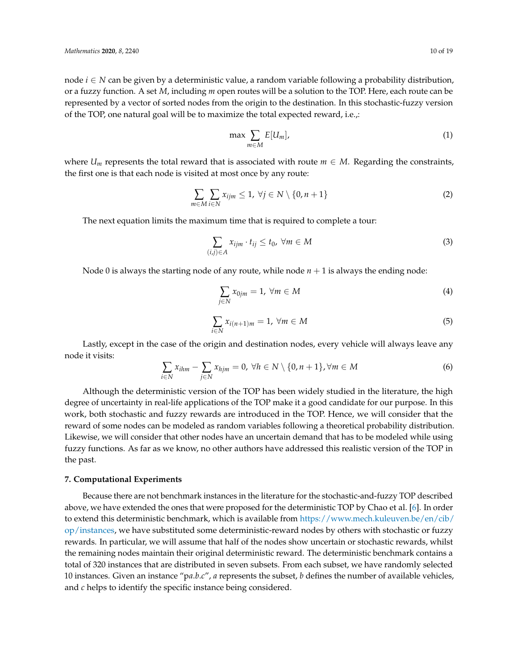node *i* ∈ *N* can be given by a deterministic value, a random variable following a probability distribution, or a fuzzy function. A set *M*, including *m* open routes will be a solution to the TOP. Here, each route can be represented by a vector of sorted nodes from the origin to the destination. In this stochastic-fuzzy version of the TOP, one natural goal will be to maximize the total expected reward, i.e.,:

$$
\max \sum_{m \in M} E[U_m], \tag{1}
$$

where  $U_m$  represents the total reward that is associated with route  $m \in M$ . Regarding the constraints, the first one is that each node is visited at most once by any route:

$$
\sum_{m \in M} \sum_{i \in N} x_{ijm} \leq 1, \ \forall j \in N \setminus \{0, n+1\}
$$
 (2)

The next equation limits the maximum time that is required to complete a tour:

$$
\sum_{(i,j)\in A} x_{ijm} \cdot t_{ij} \le t_0, \ \forall m \in M \tag{3}
$$

Node 0 is always the starting node of any route, while node  $n + 1$  is always the ending node:

$$
\sum_{j \in N} x_{0jm} = 1, \ \forall m \in M \tag{4}
$$

$$
\sum_{i \in N} x_{i(n+1)m} = 1, \ \forall m \in M \tag{5}
$$

Lastly, except in the case of the origin and destination nodes, every vehicle will always leave any node it visits:

$$
\sum_{i\in N} x_{ihm} - \sum_{j\in N} x_{hjm} = 0, \ \forall h \in N \setminus \{0, n+1\}, \forall m \in M
$$
 (6)

Although the deterministic version of the TOP has been widely studied in the literature, the high degree of uncertainty in real-life applications of the TOP make it a good candidate for our purpose. In this work, both stochastic and fuzzy rewards are introduced in the TOP. Hence, we will consider that the reward of some nodes can be modeled as random variables following a theoretical probability distribution. Likewise, we will consider that other nodes have an uncertain demand that has to be modeled while using fuzzy functions. As far as we know, no other authors have addressed this realistic version of the TOP in the past.

## <span id="page-9-0"></span>**7. Computational Experiments**

Because there are not benchmark instances in the literature for the stochastic-and-fuzzy TOP described above, we have extended the ones that were proposed for the deterministic TOP by Chao et al. [\[6\]](#page-15-5). In order to extend this deterministic benchmark, which is available from [https://www.mech.kuleuven.be/en/cib/](https://www.mech.kuleuven.be/en/cib/op/instances) [op/instances,](https://www.mech.kuleuven.be/en/cib/op/instances) we have substituted some deterministic-reward nodes by others with stochastic or fuzzy rewards. In particular, we will assume that half of the nodes show uncertain or stochastic rewards, whilst the remaining nodes maintain their original deterministic reward. The deterministic benchmark contains a total of 320 instances that are distributed in seven subsets. From each subset, we have randomly selected 10 instances. Given an instance "p*a*.*b*.*c*", *a* represents the subset, *b* defines the number of available vehicles, and *c* helps to identify the specific instance being considered.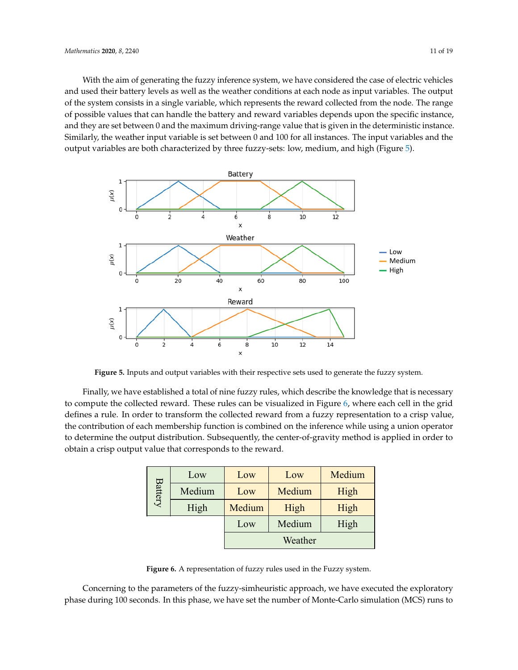With the aim of generating the fuzzy inference system, we have considered the case of electric vehicles and used their battery levels as well as the weather conditions at each node as input variables. The output of the system consists in a single variable, which represents the reward collected from the node. The range of possible values that can handle the battery and reward variables depends upon the specific instance, and they are set between 0 and the maximum driving-range value that is given in the deterministic instance. Similarly, the weather input variable is set between 0 and 100 for all instances. The input variables and the output variables are both characterized by three fuzzy-sets: low, medium, and high (Figure [5\)](#page-10-0).

<span id="page-10-0"></span>

**Figure 5.** Inputs and output variables with their respective sets used to generate the fuzzy system.

<span id="page-10-1"></span>Finally, we have established a total of nine fuzzy rules, which describe the knowledge that is necessary to compute the collected reward. These rules can be visualized in Figure [6,](#page-10-1) where each cell in the grid defines a rule. In order to transform the collected reward from a fuzzy representation to a crisp value, the contribution of each membership function is combined on the inference while using a union operator to determine the output distribution. Subsequently, the center-of-gravity method is applied in order to obtain a crisp output value that corresponds to the reward.

| <b>Battery</b> | Low            | Low     | Low    | Medium |  |
|----------------|----------------|---------|--------|--------|--|
|                | Medium         | Low     | Medium | High   |  |
|                | High<br>Medium |         | High   | High   |  |
|                |                | Low     | Medium | High   |  |
|                |                | Weather |        |        |  |

**Figure 6.** A representation of fuzzy rules used in the Fuzzy system.

Concerning to the parameters of the fuzzy-simheuristic approach, we have executed the exploratory phase during 100 seconds. In this phase, we have set the number of Monte-Carlo simulation (MCS) runs to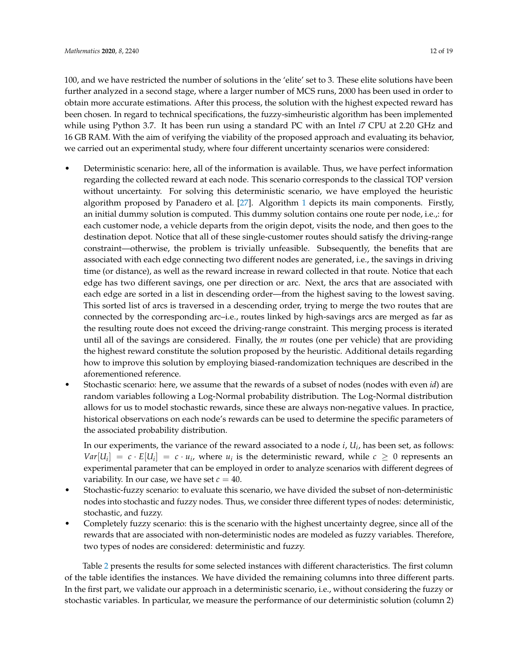100, and we have restricted the number of solutions in the 'elite' set to 3. These elite solutions have been further analyzed in a second stage, where a larger number of MCS runs, 2000 has been used in order to obtain more accurate estimations. After this process, the solution with the highest expected reward has been chosen. In regard to technical specifications, the fuzzy-simheuristic algorithm has been implemented while using Python 3.7. It has been run using a standard PC with an Intel *i*7 CPU at 2.20 GHz and 16 GB RAM. With the aim of verifying the viability of the proposed approach and evaluating its behavior, we carried out an experimental study, where four different uncertainty scenarios were considered:

- Deterministic scenario: here, all of the information is available. Thus, we have perfect information regarding the collected reward at each node. This scenario corresponds to the classical TOP version without uncertainty. For solving this deterministic scenario, we have employed the heuristic algorithm proposed by Panadero et al. [\[27\]](#page-16-11). Algorithm [1](#page-12-0) depicts its main components. Firstly, an initial dummy solution is computed. This dummy solution contains one route per node, i.e.,: for each customer node, a vehicle departs from the origin depot, visits the node, and then goes to the destination depot. Notice that all of these single-customer routes should satisfy the driving-range constraint—otherwise, the problem is trivially unfeasible. Subsequently, the benefits that are associated with each edge connecting two different nodes are generated, i.e., the savings in driving time (or distance), as well as the reward increase in reward collected in that route. Notice that each edge has two different savings, one per direction or arc. Next, the arcs that are associated with each edge are sorted in a list in descending order—from the highest saving to the lowest saving. This sorted list of arcs is traversed in a descending order, trying to merge the two routes that are connected by the corresponding arc–i.e., routes linked by high-savings arcs are merged as far as the resulting route does not exceed the driving-range constraint. This merging process is iterated until all of the savings are considered. Finally, the *m* routes (one per vehicle) that are providing the highest reward constitute the solution proposed by the heuristic. Additional details regarding how to improve this solution by employing biased-randomization techniques are described in the aforementioned reference.
- Stochastic scenario: here, we assume that the rewards of a subset of nodes (nodes with even *id*) are random variables following a Log-Normal probability distribution. The Log-Normal distribution allows for us to model stochastic rewards, since these are always non-negative values. In practice, historical observations on each node's rewards can be used to determine the specific parameters of the associated probability distribution.

In our experiments, the variance of the reward associated to a node *i*, *U<sup>i</sup>* , has been set, as follows:  $Var[U_i] = c \cdot E[U_i] = c \cdot u_i$ , where  $u_i$  is the deterministic reward, while  $c \geq 0$  represents an experimental parameter that can be employed in order to analyze scenarios with different degrees of variability. In our case, we have set  $c = 40$ .

- Stochastic-fuzzy scenario: to evaluate this scenario, we have divided the subset of non-deterministic nodes into stochastic and fuzzy nodes. Thus, we consider three different types of nodes: deterministic, stochastic, and fuzzy.
- Completely fuzzy scenario: this is the scenario with the highest uncertainty degree, since all of the rewards that are associated with non-deterministic nodes are modeled as fuzzy variables. Therefore, two types of nodes are considered: deterministic and fuzzy.

Table [2](#page-13-0) presents the results for some selected instances with different characteristics. The first column of the table identifies the instances. We have divided the remaining columns into three different parts. In the first part, we validate our approach in a deterministic scenario, i.e., without considering the fuzzy or stochastic variables. In particular, we measure the performance of our deterministic solution (column 2)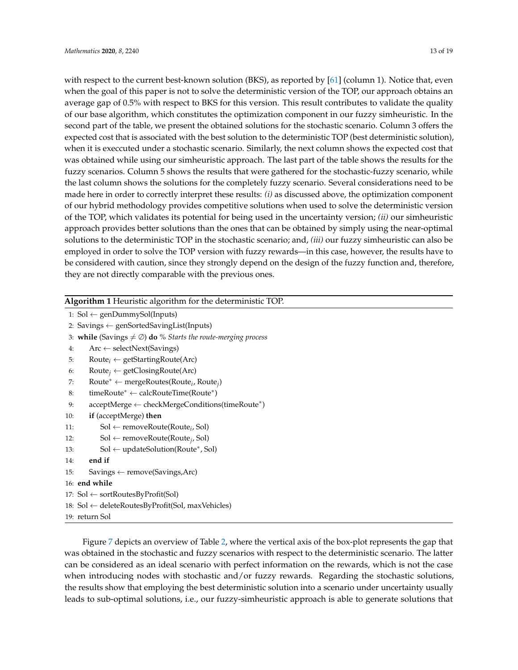with respect to the current best-known solution (BKS), as reported by [\[61\]](#page-18-2) (column 1). Notice that, even when the goal of this paper is not to solve the deterministic version of the TOP, our approach obtains an average gap of 0.5% with respect to BKS for this version. This result contributes to validate the quality of our base algorithm, which constitutes the optimization component in our fuzzy simheuristic. In the second part of the table, we present the obtained solutions for the stochastic scenario. Column 3 offers the expected cost that is associated with the best solution to the deterministic TOP (best deterministic solution), when it is execcuted under a stochastic scenario. Similarly, the next column shows the expected cost that was obtained while using our simheuristic approach. The last part of the table shows the results for the fuzzy scenarios. Column 5 shows the results that were gathered for the stochastic-fuzzy scenario, while the last column shows the solutions for the completely fuzzy scenario. Several considerations need to be made here in order to correctly interpret these results: *(i)* as discussed above, the optimization component of our hybrid methodology provides competitive solutions when used to solve the deterministic version of the TOP, which validates its potential for being used in the uncertainty version; *(ii)* our simheuristic approach provides better solutions than the ones that can be obtained by simply using the near-optimal solutions to the deterministic TOP in the stochastic scenario; and, *(iii)* our fuzzy simheuristic can also be employed in order to solve the TOP version with fuzzy rewards—in this case, however, the results have to be considered with caution, since they strongly depend on the design of the fuzzy function and, therefore, they are not directly comparable with the previous ones.

<span id="page-12-0"></span>

| Algorithm 1 Heuristic algorithm for the deterministic TOP.                                  |  |  |  |  |
|---------------------------------------------------------------------------------------------|--|--|--|--|
| 1: Sol $\leftarrow$ genDummySol(Inputs)                                                     |  |  |  |  |
| 2: Savings $\leftarrow$ genSortedSavingList(Inputs)                                         |  |  |  |  |
| 3: while (Savings $\neq \emptyset$ ) do % Starts the route-merging process                  |  |  |  |  |
| $Arc \leftarrow selectNext(Savings)$<br>4:                                                  |  |  |  |  |
| $\text{Route}_i \leftarrow \text{getStartingRoute(Arc)}$<br>5:                              |  |  |  |  |
| $\text{Route}_i \leftarrow \text{getClosing Route}(\text{Arc})$<br>6:                       |  |  |  |  |
| Route <sup>*</sup> $\leftarrow$ mergeRoutes(Route <sub>i</sub> , Route <sub>i</sub> )<br>7: |  |  |  |  |
| timeRoute* $\leftarrow$ calcRouteTime(Route*)<br>8:                                         |  |  |  |  |
| acceptMerge ← checkMergeConditions(timeRoute*)<br>9:                                        |  |  |  |  |
| if (acceptMerge) then<br>10:                                                                |  |  |  |  |
| $Sol \leftarrow remove Route(Route_i, Sol)$<br>11:                                          |  |  |  |  |
| $Sol \leftarrow remove Route(Route_j, Sol)$<br>12:                                          |  |  |  |  |
| $Sol \leftarrow updateSolution(Route*, Sol)$<br>13:                                         |  |  |  |  |
| end if<br>14:                                                                               |  |  |  |  |
| $Savings \leftarrow remove(Savings, Arc)$<br>15:                                            |  |  |  |  |
| 16: end while                                                                               |  |  |  |  |
| 17: $Sol \leftarrow sortRoutersByProfit(Sol)$                                               |  |  |  |  |
| 18: Sol $\leftarrow$ deleteRoutesByProfit(Sol, maxVehicles)                                 |  |  |  |  |
| 19: return Sol                                                                              |  |  |  |  |
|                                                                                             |  |  |  |  |

Figure [7](#page-13-1) depicts an overview of Table [2,](#page-13-0) where the vertical axis of the box-plot represents the gap that was obtained in the stochastic and fuzzy scenarios with respect to the deterministic scenario. The latter can be considered as an ideal scenario with perfect information on the rewards, which is not the case when introducing nodes with stochastic and/or fuzzy rewards. Regarding the stochastic solutions, the results show that employing the best deterministic solution into a scenario under uncertainty usually leads to sub-optimal solutions, i.e., our fuzzy-simheuristic approach is able to generate solutions that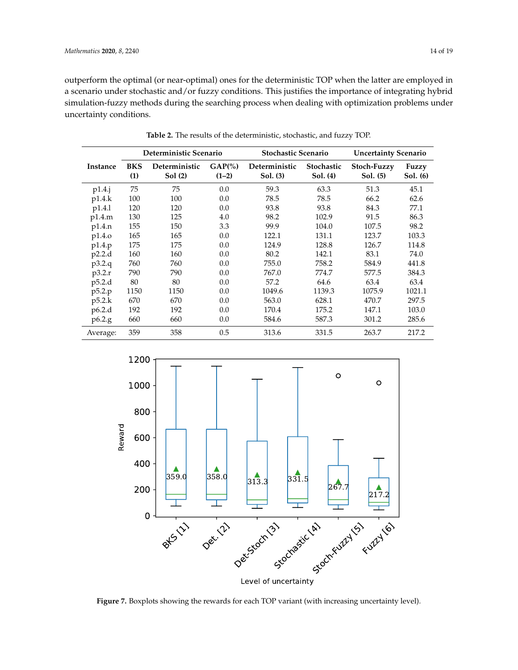outperform the optimal (or near-optimal) ones for the deterministic TOP when the latter are employed in a scenario under stochastic and/or fuzzy conditions. This justifies the importance of integrating hybrid simulation-fuzzy methods during the searching process when dealing with optimization problems under uncertainty conditions.

<span id="page-13-0"></span>

|          | Deterministic Scenario |                         |                       | <b>Stochastic Scenario</b> |                        | <b>Uncertainty Scenario</b> |                   |
|----------|------------------------|-------------------------|-----------------------|----------------------------|------------------------|-----------------------------|-------------------|
| Instance | <b>BKS</b><br>(1)      | Deterministic<br>Sol(2) | $GAP(\% )$<br>$(1-2)$ | Deterministic<br>Sol. (3)  | Stochastic<br>Sol. (4) | Stoch-Fuzzy<br>Sol. (5)     | Fuzzy<br>Sol. (6) |
| $p1.4$ . | 75                     | 75                      | 0.0                   | 59.3                       | 63.3                   | 51.3                        | 45.1              |
| p1.4.k   | 100                    | 100                     | 0.0                   | 78.5                       | 78.5                   | 66.2                        | 62.6              |
| p1.4.1   | 120                    | 120                     | 0.0                   | 93.8                       | 93.8                   | 84.3                        | 77.1              |
| p1.4.m   | 130                    | 125                     | 4.0                   | 98.2                       | 102.9                  | 91.5                        | 86.3              |
| p1.4.n   | 155                    | 150                     | 3.3                   | 99.9                       | 104.0                  | 107.5                       | 98.2              |
| p1.4.o   | 165                    | 165                     | 0.0                   | 122.1                      | 131.1                  | 123.7                       | 103.3             |
| p1.4.p   | 175                    | 175                     | 0.0                   | 124.9                      | 128.8                  | 126.7                       | 114.8             |
| p2.2.d   | 160                    | 160                     | 0.0                   | 80.2                       | 142.1                  | 83.1                        | 74.0              |
| p3.2.q   | 760                    | 760                     | 0.0                   | 755.0                      | 758.2                  | 584.9                       | 441.8             |
| p3.2.r   | 790                    | 790                     | 0.0                   | 767.0                      | 774.7                  | 577.5                       | 384.3             |
| p5.2.d   | 80                     | 80                      | 0.0                   | 57.2                       | 64.6                   | 63.4                        | 63.4              |
| p5.2.p   | 1150                   | 1150                    | 0.0                   | 1049.6                     | 1139.3                 | 1075.9                      | 1021.1            |
| p5.2.k   | 670                    | 670                     | 0.0                   | 563.0                      | 628.1                  | 470.7                       | 297.5             |
| p6.2.d   | 192                    | 192                     | 0.0                   | 170.4                      | 175.2                  | 147.1                       | 103.0             |
| p6.2.g   | 660                    | 660                     | 0.0                   | 584.6                      | 587.3                  | 301.2                       | 285.6             |
| Average: | 359                    | 358                     | 0.5                   | 313.6                      | 331.5                  | 263.7                       | 217.2             |

**Table 2.** The results of the deterministic, stochastic, and fuzzy TOP.

<span id="page-13-1"></span>

**Figure 7.** Boxplots showing the rewards for each TOP variant (with increasing uncertainty level).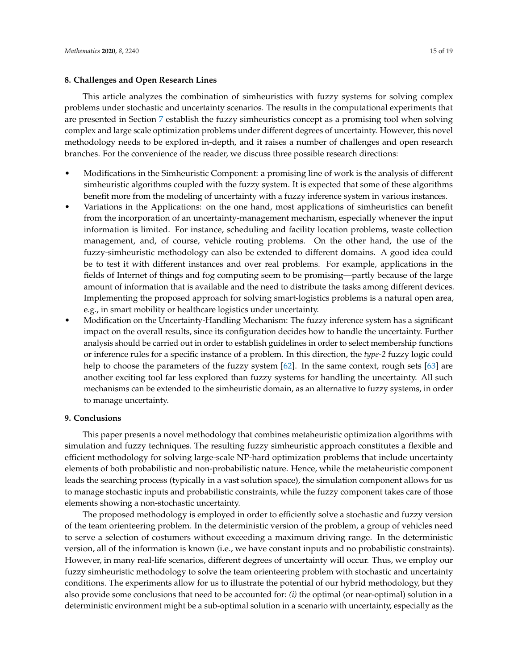## <span id="page-14-0"></span>**8. Challenges and Open Research Lines**

This article analyzes the combination of simheuristics with fuzzy systems for solving complex problems under stochastic and uncertainty scenarios. The results in the computational experiments that are presented in Section [7](#page-9-0) establish the fuzzy simheuristics concept as a promising tool when solving complex and large scale optimization problems under different degrees of uncertainty. However, this novel methodology needs to be explored in-depth, and it raises a number of challenges and open research branches. For the convenience of the reader, we discuss three possible research directions:

- Modifications in the Simheuristic Component: a promising line of work is the analysis of different simheuristic algorithms coupled with the fuzzy system. It is expected that some of these algorithms benefit more from the modeling of uncertainty with a fuzzy inference system in various instances.
- Variations in the Applications: on the one hand, most applications of simheuristics can benefit from the incorporation of an uncertainty-management mechanism, especially whenever the input information is limited. For instance, scheduling and facility location problems, waste collection management, and, of course, vehicle routing problems. On the other hand, the use of the fuzzy-simheuristic methodology can also be extended to different domains. A good idea could be to test it with different instances and over real problems. For example, applications in the fields of Internet of things and fog computing seem to be promising—partly because of the large amount of information that is available and the need to distribute the tasks among different devices. Implementing the proposed approach for solving smart-logistics problems is a natural open area, e.g., in smart mobility or healthcare logistics under uncertainty.
- Modification on the Uncertainty-Handling Mechanism: The fuzzy inference system has a significant impact on the overall results, since its configuration decides how to handle the uncertainty. Further analysis should be carried out in order to establish guidelines in order to select membership functions or inference rules for a specific instance of a problem. In this direction, the *type-2* fuzzy logic could help to choose the parameters of the fuzzy system [\[62\]](#page-18-3). In the same context, rough sets [\[63\]](#page-18-4) are another exciting tool far less explored than fuzzy systems for handling the uncertainty. All such mechanisms can be extended to the simheuristic domain, as an alternative to fuzzy systems, in order to manage uncertainty.

## <span id="page-14-1"></span>**9. Conclusions**

This paper presents a novel methodology that combines metaheuristic optimization algorithms with simulation and fuzzy techniques. The resulting fuzzy simheuristic approach constitutes a flexible and efficient methodology for solving large-scale NP-hard optimization problems that include uncertainty elements of both probabilistic and non-probabilistic nature. Hence, while the metaheuristic component leads the searching process (typically in a vast solution space), the simulation component allows for us to manage stochastic inputs and probabilistic constraints, while the fuzzy component takes care of those elements showing a non-stochastic uncertainty.

The proposed methodology is employed in order to efficiently solve a stochastic and fuzzy version of the team orienteering problem. In the deterministic version of the problem, a group of vehicles need to serve a selection of costumers without exceeding a maximum driving range. In the deterministic version, all of the information is known (i.e., we have constant inputs and no probabilistic constraints). However, in many real-life scenarios, different degrees of uncertainty will occur. Thus, we employ our fuzzy simheuristic methodology to solve the team orienteering problem with stochastic and uncertainty conditions. The experiments allow for us to illustrate the potential of our hybrid methodology, but they also provide some conclusions that need to be accounted for: *(i)* the optimal (or near-optimal) solution in a deterministic environment might be a sub-optimal solution in a scenario with uncertainty, especially as the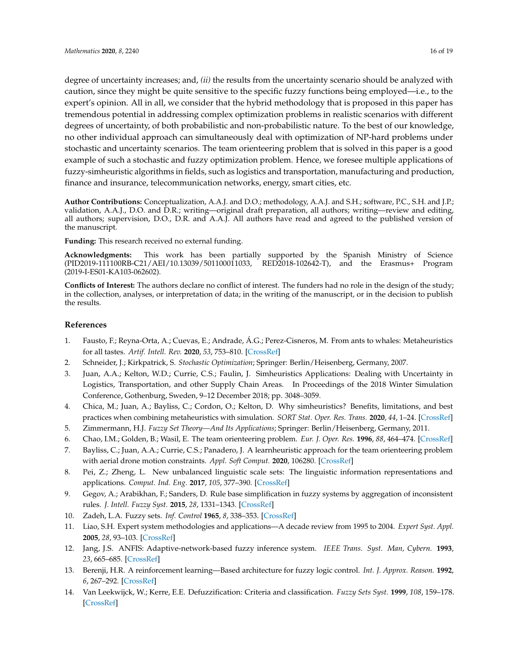degree of uncertainty increases; and, *(ii)* the results from the uncertainty scenario should be analyzed with caution, since they might be quite sensitive to the specific fuzzy functions being employed—i.e., to the expert's opinion. All in all, we consider that the hybrid methodology that is proposed in this paper has tremendous potential in addressing complex optimization problems in realistic scenarios with different degrees of uncertainty, of both probabilistic and non-probabilistic nature. To the best of our knowledge, no other individual approach can simultaneously deal with optimization of NP-hard problems under stochastic and uncertainty scenarios. The team orienteering problem that is solved in this paper is a good example of such a stochastic and fuzzy optimization problem. Hence, we foresee multiple applications of fuzzy-simheuristic algorithms in fields, such as logistics and transportation, manufacturing and production, finance and insurance, telecommunication networks, energy, smart cities, etc.

**Author Contributions:** Conceptualization, A.A.J. and D.O.; methodology, A.A.J. and S.H.; software, P.C., S.H. and J.P.; validation, A.A.J., D.O. and D.R.; writing—original draft preparation, all authors; writing—review and editing, all authors; supervision, D.O., D.R. and A.A.J. All authors have read and agreed to the published version of the manuscript.

**Funding:** This research received no external funding.

**Acknowledgments:** This work has been partially supported by the Spanish Ministry of Science (PID2019-111100RB-C21/AEI/10.13039/501100011033, RED2018-102642-T), and the Erasmus+ Program (2019-I-ES01-KA103-062602).

**Conflicts of Interest:** The authors declare no conflict of interest. The funders had no role in the design of the study; in the collection, analyses, or interpretation of data; in the writing of the manuscript, or in the decision to publish the results.

## **References**

- <span id="page-15-0"></span>1. Fausto, F.; Reyna-Orta, A.; Cuevas, E.; Andrade, Á.G.; Perez-Cisneros, M. From ants to whales: Metaheuristics for all tastes. *Artif. Intell. Rev.* **2020**, *53*, 753–810. [\[CrossRef\]](http://dx.doi.org/10.1007/s10462-018-09676-2)
- <span id="page-15-1"></span>2. Schneider, J.; Kirkpatrick, S. *Stochastic Optimization*; Springer: Berlin/Heisenberg, Germany, 2007.
- <span id="page-15-2"></span>3. Juan, A.A.; Kelton, W.D.; Currie, C.S.; Faulin, J. Simheuristics Applications: Dealing with Uncertainty in Logistics, Transportation, and other Supply Chain Areas. In Proceedings of the 2018 Winter Simulation Conference, Gothenburg, Sweden, 9–12 December 2018; pp. 3048–3059.
- <span id="page-15-3"></span>4. Chica, M.; Juan, A.; Bayliss, C.; Cordon, O.; Kelton, D. Why simheuristics? Benefits, limitations, and best practices when combining metaheuristics with simulation. *SORT Stat. Oper. Res. Trans.* **2020**, *44*, 1–24. [\[CrossRef\]](http://dx.doi.org/10.2139/ssrn.2919208)
- <span id="page-15-4"></span>5. Zimmermann, H.J. *Fuzzy Set Theory—And Its Applications*; Springer: Berlin/Heisenberg, Germany, 2011.
- <span id="page-15-5"></span>6. Chao, I.M.; Golden, B.; Wasil, E. The team orienteering problem. *Eur. J. Oper. Res.* **1996**, *88*, 464–474. [\[CrossRef\]](http://dx.doi.org/10.1016/0377-2217(94)00289-4)
- <span id="page-15-6"></span>7. Bayliss, C.; Juan, A.A.; Currie, C.S.; Panadero, J. A learnheuristic approach for the team orienteering problem with aerial drone motion constraints. *Appl. Soft Comput.* **2020**, 106280. [\[CrossRef\]](http://dx.doi.org/10.1016/j.asoc.2020.106280)
- <span id="page-15-7"></span>8. Pei, Z.; Zheng, L. New unbalanced linguistic scale sets: The linguistic information representations and applications. *Comput. Ind. Eng.* **2017**, *105*, 377–390. [\[CrossRef\]](http://dx.doi.org/10.1016/j.cie.2016.12.024)
- <span id="page-15-8"></span>9. Gegov, A.; Arabikhan, F.; Sanders, D. Rule base simplification in fuzzy systems by aggregation of inconsistent rules. *J. Intell. Fuzzy Syst.* **2015**, *28*, 1331–1343. [\[CrossRef\]](http://dx.doi.org/10.3233/IFS-141418)
- <span id="page-15-9"></span>10. Zadeh, L.A. Fuzzy sets. *Inf. Control* **1965**, *8*, 338–353. [\[CrossRef\]](http://dx.doi.org/10.1016/S0019-9958(65)90241-X)
- <span id="page-15-10"></span>11. Liao, S.H. Expert system methodologies and applications—A decade review from 1995 to 2004. *Expert Syst. Appl.* **2005**, *28*, 93–103. [\[CrossRef\]](http://dx.doi.org/10.1016/j.eswa.2004.08.003)
- <span id="page-15-11"></span>12. Jang, J.S. ANFIS: Adaptive-network-based fuzzy inference system. *IEEE Trans. Syst. Man, Cybern.* **1993**, *23*, 665–685. [\[CrossRef\]](http://dx.doi.org/10.1109/21.256541)
- <span id="page-15-12"></span>13. Berenji, H.R. A reinforcement learning—Based architecture for fuzzy logic control. *Int. J. Approx. Reason.* **1992**, *6*, 267–292. [\[CrossRef\]](http://dx.doi.org/10.1016/0888-613X(92)90020-Z)
- <span id="page-15-13"></span>14. Van Leekwijck, W.; Kerre, E.E. Defuzzification: Criteria and classification. *Fuzzy Sets Syst.* **1999**, *108*, 159–178. [\[CrossRef\]](http://dx.doi.org/10.1016/S0165-0114(97)00337-0)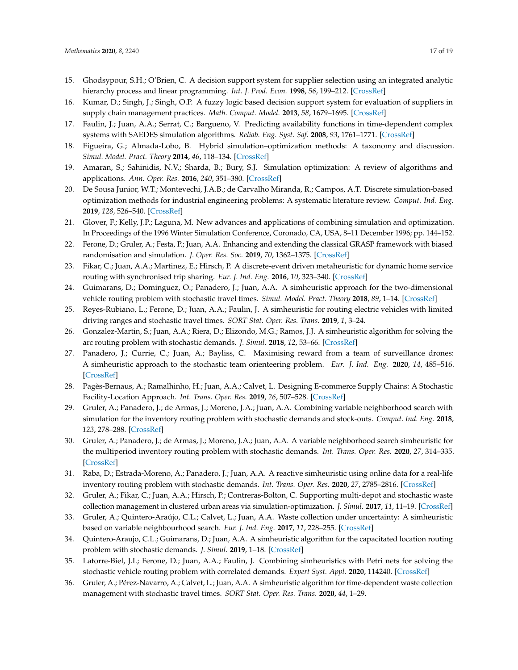- <span id="page-16-0"></span>15. Ghodsypour, S.H.; O'Brien, C. A decision support system for supplier selection using an integrated analytic hierarchy process and linear programming. *Int. J. Prod. Econ.* **1998**, *56*, 199–212. [\[CrossRef\]](http://dx.doi.org/10.1016/S0925-5273(97)00009-1)
- <span id="page-16-1"></span>16. Kumar, D.; Singh, J.; Singh, O.P. A fuzzy logic based decision support system for evaluation of suppliers in supply chain management practices. *Math. Comput. Model.* **2013**, *58*, 1679–1695. [\[CrossRef\]](http://dx.doi.org/10.1016/j.mcm.2013.07.003)
- <span id="page-16-2"></span>17. Faulin, J.; Juan, A.A.; Serrat, C.; Bargueno, V. Predicting availability functions in time-dependent complex systems with SAEDES simulation algorithms. *Reliab. Eng. Syst. Saf.* **2008**, *93*, 1761–1771. [\[CrossRef\]](http://dx.doi.org/10.1016/j.ress.2008.03.022)
- <span id="page-16-3"></span>18. Figueira, G.; Almada-Lobo, B. Hybrid simulation–optimization methods: A taxonomy and discussion. *Simul. Model. Pract. Theory* **2014**, *46*, 118–134. [\[CrossRef\]](http://dx.doi.org/10.1016/j.simpat.2014.03.007)
- <span id="page-16-4"></span>19. Amaran, S.; Sahinidis, N.V.; Sharda, B.; Bury, S.J. Simulation optimization: A review of algorithms and applications. *Ann. Oper. Res.* **2016**, *240*, 351–380. [\[CrossRef\]](http://dx.doi.org/10.1007/s10479-015-2019-x)
- <span id="page-16-5"></span>20. De Sousa Junior, W.T.; Montevechi, J.A.B.; de Carvalho Miranda, R.; Campos, A.T. Discrete simulation-based optimization methods for industrial engineering problems: A systematic literature review. *Comput. Ind. Eng.* **2019**, *128*, 526–540. [\[CrossRef\]](http://dx.doi.org/10.1016/j.cie.2018.12.073)
- <span id="page-16-6"></span>21. Glover, F.; Kelly, J.P.; Laguna, M. New advances and applications of combining simulation and optimization. In Proceedings of the 1996 Winter Simulation Conference, Coronado, CA, USA, 8–11 December 1996; pp. 144–152.
- <span id="page-16-7"></span>22. Ferone, D.; Gruler, A.; Festa, P.; Juan, A.A. Enhancing and extending the classical GRASP framework with biased randomisation and simulation. *J. Oper. Res. Soc.* **2019**, *70*, 1362–1375. [\[CrossRef\]](http://dx.doi.org/10.1080/01605682.2018.1494527)
- <span id="page-16-8"></span>23. Fikar, C.; Juan, A.A.; Martinez, E.; Hirsch, P. A discrete-event driven metaheuristic for dynamic home service routing with synchronised trip sharing. *Eur. J. Ind. Eng.* **2016**, *10*, 323–340. [\[CrossRef\]](http://dx.doi.org/10.1504/EJIE.2016.076382)
- 24. Guimarans, D.; Dominguez, O.; Panadero, J.; Juan, A.A. A simheuristic approach for the two-dimensional vehicle routing problem with stochastic travel times. *Simul. Model. Pract. Theory* **2018**, *89*, 1–14. [\[CrossRef\]](http://dx.doi.org/10.1016/j.simpat.2018.09.004)
- <span id="page-16-9"></span>25. Reyes-Rubiano, L.; Ferone, D.; Juan, A.A.; Faulin, J. A simheuristic for routing electric vehicles with limited driving ranges and stochastic travel times. *SORT Stat. Oper. Res. Trans.* **2019**, *1*, 3–24.
- <span id="page-16-10"></span>26. Gonzalez-Martin, S.; Juan, A.A.; Riera, D.; Elizondo, M.G.; Ramos, J.J. A simheuristic algorithm for solving the arc routing problem with stochastic demands. *J. Simul.* **2018**, *12*, 53–66. [\[CrossRef\]](http://dx.doi.org/10.1057/jos.2016.11)
- <span id="page-16-11"></span>27. Panadero, J.; Currie, C.; Juan, A.; Bayliss, C. Maximising reward from a team of surveillance drones: A simheuristic approach to the stochastic team orienteering problem. *Eur. J. Ind. Eng.* **2020**, *14*, 485–516. [\[CrossRef\]](http://dx.doi.org/10.1504/EJIE.2020.108581)
- <span id="page-16-12"></span>28. Pagès-Bernaus, A.; Ramalhinho, H.; Juan, A.A.; Calvet, L. Designing E-commerce Supply Chains: A Stochastic Facility-Location Approach. *Int. Trans. Oper. Res.* **2019**, *26*, 507–528. [\[CrossRef\]](http://dx.doi.org/10.1111/itor.12433)
- <span id="page-16-13"></span>29. Gruler, A.; Panadero, J.; de Armas, J.; Moreno, J.A.; Juan, A.A. Combining variable neighborhood search with simulation for the inventory routing problem with stochastic demands and stock-outs. *Comput. Ind. Eng.* **2018**, *123*, 278–288. [\[CrossRef\]](http://dx.doi.org/10.1016/j.cie.2018.06.036)
- 30. Gruler, A.; Panadero, J.; de Armas, J.; Moreno, J.A.; Juan, A.A. A variable neighborhood search simheuristic for the multiperiod inventory routing problem with stochastic demands. *Int. Trans. Oper. Res.* **2020**, *27*, 314–335. [\[CrossRef\]](http://dx.doi.org/10.1111/itor.12540)
- <span id="page-16-14"></span>31. Raba, D.; Estrada-Moreno, A.; Panadero, J.; Juan, A.A. A reactive simheuristic using online data for a real-life inventory routing problem with stochastic demands. *Int. Trans. Oper. Res.* **2020**, *27*, 2785–2816. [\[CrossRef\]](http://dx.doi.org/10.1111/itor.12776)
- <span id="page-16-15"></span>32. Gruler, A.; Fikar, C.; Juan, A.A.; Hirsch, P.; Contreras-Bolton, C. Supporting multi-depot and stochastic waste collection management in clustered urban areas via simulation-optimization. *J. Simul.* **2017**, *11*, 11–19. [\[CrossRef\]](http://dx.doi.org/10.1057/s41273-016-0002-4)
- <span id="page-16-16"></span>33. Gruler, A.; Quintero-Araújo, C.L.; Calvet, L.; Juan, A.A. Waste collection under uncertainty: A simheuristic based on variable neighbourhood search. *Eur. J. Ind. Eng.* **2017**, *11*, 228–255. [\[CrossRef\]](http://dx.doi.org/10.1504/EJIE.2017.083257)
- <span id="page-16-17"></span>34. Quintero-Araujo, C.L.; Guimarans, D.; Juan, A.A. A simheuristic algorithm for the capacitated location routing problem with stochastic demands. *J. Simul.* **2019**, 1–18. [\[CrossRef\]](http://dx.doi.org/10.1080/17477778.2019.1680262)
- <span id="page-16-18"></span>35. Latorre-Biel, J.I.; Ferone, D.; Juan, A.A.; Faulin, J. Combining simheuristics with Petri nets for solving the stochastic vehicle routing problem with correlated demands. *Expert Syst. Appl.* **2020**, 114240. [\[CrossRef\]](http://dx.doi.org/10.1016/j.eswa.2020.114240)
- <span id="page-16-19"></span>36. Gruler, A.; Pérez-Navarro, A.; Calvet, L.; Juan, A.A. A simheuristic algorithm for time-dependent waste collection management with stochastic travel times. *SORT Stat. Oper. Res. Trans.* **2020**, *44*, 1–29.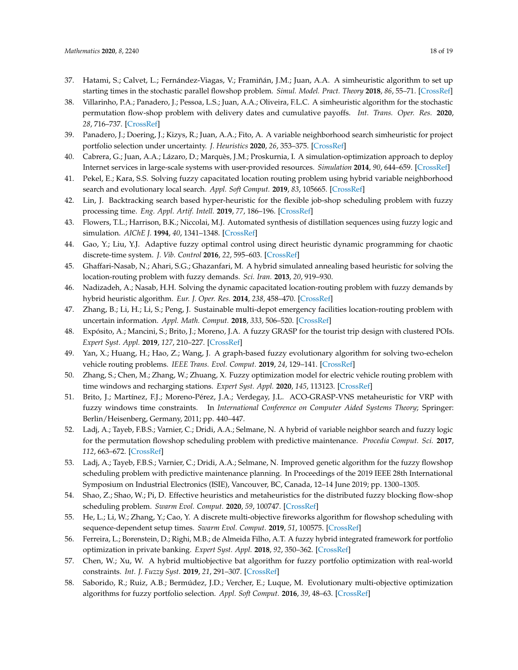- <span id="page-17-0"></span>37. Hatami, S.; Calvet, L.; Fernández-Viagas, V.; Framiñán, J.M.; Juan, A.A. A simheuristic algorithm to set up starting times in the stochastic parallel flowshop problem. *Simul. Model. Pract. Theory* **2018**, *86*, 55–71. [\[CrossRef\]](http://dx.doi.org/10.1016/j.simpat.2018.04.005)
- <span id="page-17-1"></span>38. Villarinho, P.A.; Panadero, J.; Pessoa, L.S.; Juan, A.A.; Oliveira, F.L.C. A simheuristic algorithm for the stochastic permutation flow-shop problem with delivery dates and cumulative payoffs. *Int. Trans. Oper. Res.* **2020**, *28*, 716–737. [\[CrossRef\]](http://dx.doi.org/10.1111/itor.12862)
- <span id="page-17-2"></span>39. Panadero, J.; Doering, J.; Kizys, R.; Juan, A.A.; Fito, A. A variable neighborhood search simheuristic for project portfolio selection under uncertainty. *J. Heuristics* **2020**, *26*, 353–375. [\[CrossRef\]](http://dx.doi.org/10.1007/s10732-018-9367-z)
- <span id="page-17-3"></span>40. Cabrera, G.; Juan, A.A.; Lázaro, D.; Marquès, J.M.; Proskurnia, I. A simulation-optimization approach to deploy Internet services in large-scale systems with user-provided resources. *Simulation* **2014**, *90*, 644–659. [\[CrossRef\]](http://dx.doi.org/10.1177/0037549714531350)
- <span id="page-17-4"></span>41. Pekel, E.; Kara, S.S. Solving fuzzy capacitated location routing problem using hybrid variable neighborhood search and evolutionary local search. *Appl. Soft Comput.* **2019**, *83*, 105665. [\[CrossRef\]](http://dx.doi.org/10.1016/j.asoc.2019.105665)
- <span id="page-17-5"></span>42. Lin, J. Backtracking search based hyper-heuristic for the flexible job-shop scheduling problem with fuzzy processing time. *Eng. Appl. Artif. Intell.* **2019**, *77*, 186–196. [\[CrossRef\]](http://dx.doi.org/10.1016/j.engappai.2018.10.008)
- <span id="page-17-6"></span>43. Flowers, T.L.; Harrison, B.K.; Niccolai, M.J. Automated synthesis of distillation sequences using fuzzy logic and simulation. *AIChE J.* **1994**, *40*, 1341–1348. [\[CrossRef\]](http://dx.doi.org/10.1002/aic.690400807)
- <span id="page-17-7"></span>44. Gao, Y.; Liu, Y.J. Adaptive fuzzy optimal control using direct heuristic dynamic programming for chaotic discrete-time system. *J. Vib. Control* **2016**, *22*, 595–603. [\[CrossRef\]](http://dx.doi.org/10.1177/1077546314534286)
- <span id="page-17-8"></span>45. Ghaffari-Nasab, N.; Ahari, S.G.; Ghazanfari, M. A hybrid simulated annealing based heuristic for solving the location-routing problem with fuzzy demands. *Sci. Iran.* **2013**, *20*, 919–930.
- <span id="page-17-9"></span>46. Nadizadeh, A.; Nasab, H.H. Solving the dynamic capacitated location-routing problem with fuzzy demands by hybrid heuristic algorithm. *Eur. J. Oper. Res.* **2014**, *238*, 458–470. [\[CrossRef\]](http://dx.doi.org/10.1016/j.ejor.2014.04.012)
- <span id="page-17-10"></span>47. Zhang, B.; Li, H.; Li, S.; Peng, J. Sustainable multi-depot emergency facilities location-routing problem with uncertain information. *Appl. Math. Comput.* **2018**, *333*, 506–520. [\[CrossRef\]](http://dx.doi.org/10.1016/j.amc.2018.03.071)
- <span id="page-17-11"></span>48. Expósito, A.; Mancini, S.; Brito, J.; Moreno, J.A. A fuzzy GRASP for the tourist trip design with clustered POIs. *Expert Syst. Appl.* **2019**, *127*, 210–227. [\[CrossRef\]](http://dx.doi.org/10.1016/j.eswa.2019.03.004)
- <span id="page-17-12"></span>49. Yan, X.; Huang, H.; Hao, Z.; Wang, J. A graph-based fuzzy evolutionary algorithm for solving two-echelon vehicle routing problems. *IEEE Trans. Evol. Comput.* **2019**, *24*, 129–141. [\[CrossRef\]](http://dx.doi.org/10.1109/TEVC.2019.2911736)
- <span id="page-17-13"></span>50. Zhang, S.; Chen, M.; Zhang, W.; Zhuang, X. Fuzzy optimization model for electric vehicle routing problem with time windows and recharging stations. *Expert Syst. Appl.* **2020**, *145*, 113123. [\[CrossRef\]](http://dx.doi.org/10.1016/j.eswa.2019.113123)
- <span id="page-17-14"></span>51. Brito, J.; Martínez, F.J.; Moreno-Pérez, J.A.; Verdegay, J.L. ACO-GRASP-VNS metaheuristic for VRP with fuzzy windows time constraints. In *International Conference on Computer Aided Systems Theory*; Springer: Berlin/Heisenberg, Germany, 2011; pp. 440–447.
- <span id="page-17-15"></span>52. Ladj, A.; Tayeb, F.B.S.; Varnier, C.; Dridi, A.A.; Selmane, N. A hybrid of variable neighbor search and fuzzy logic for the permutation flowshop scheduling problem with predictive maintenance. *Procedia Comput. Sci.* **2017**, *112*, 663–672. [\[CrossRef\]](http://dx.doi.org/10.1016/j.procs.2017.08.120)
- <span id="page-17-16"></span>53. Ladj, A.; Tayeb, F.B.S.; Varnier, C.; Dridi, A.A.; Selmane, N. Improved genetic algorithm for the fuzzy flowshop scheduling problem with predictive maintenance planning. In Proceedings of the 2019 IEEE 28th International Symposium on Industrial Electronics (ISIE), Vancouver, BC, Canada, 12–14 June 2019; pp. 1300–1305.
- <span id="page-17-17"></span>54. Shao, Z.; Shao, W.; Pi, D. Effective heuristics and metaheuristics for the distributed fuzzy blocking flow-shop scheduling problem. *Swarm Evol. Comput.* **2020**, *59*, 100747. [\[CrossRef\]](http://dx.doi.org/10.1016/j.swevo.2020.100747)
- <span id="page-17-18"></span>55. He, L.; Li, W.; Zhang, Y.; Cao, Y. A discrete multi-objective fireworks algorithm for flowshop scheduling with sequence-dependent setup times. *Swarm Evol. Comput.* **2019**, *51*, 100575. [\[CrossRef\]](http://dx.doi.org/10.1016/j.swevo.2019.100575)
- <span id="page-17-19"></span>56. Ferreira, L.; Borenstein, D.; Righi, M.B.; de Almeida Filho, A.T. A fuzzy hybrid integrated framework for portfolio optimization in private banking. *Expert Syst. Appl.* **2018**, *92*, 350–362. [\[CrossRef\]](http://dx.doi.org/10.1016/j.eswa.2017.09.055)
- <span id="page-17-20"></span>57. Chen, W.; Xu, W. A hybrid multiobjective bat algorithm for fuzzy portfolio optimization with real-world constraints. *Int. J. Fuzzy Syst.* **2019**, *21*, 291–307. [\[CrossRef\]](http://dx.doi.org/10.1007/s40815-018-0533-0)
- <span id="page-17-21"></span>58. Saborido, R.; Ruiz, A.B.; Bermúdez, J.D.; Vercher, E.; Luque, M. Evolutionary multi-objective optimization algorithms for fuzzy portfolio selection. *Appl. Soft Comput.* **2016**, *39*, 48–63. [\[CrossRef\]](http://dx.doi.org/10.1016/j.asoc.2015.11.005)